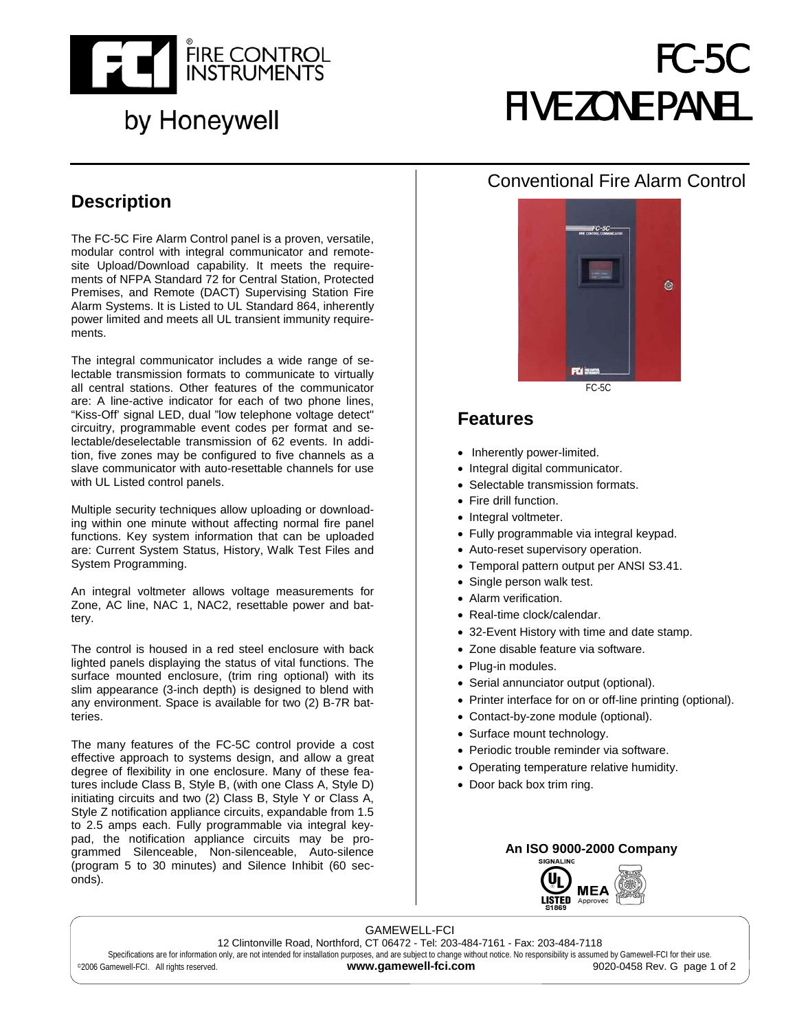

## by Honeywell

# FC-5C FIVE ZONE PANEL

## **Description**

The FC-5C Fire Alarm Control panel is a proven, versatile, modular control with integral communicator and remotesite Upload/Download capability. It meets the requirements of NFPA Standard 72 for Central Station, Protected Premises, and Remote (DACT) Supervising Station Fire Alarm Systems. It is Listed to UL Standard 864, inherently power limited and meets all UL transient immunity requirements.

The integral communicator includes a wide range of selectable transmission formats to communicate to virtually all central stations. Other features of the communicator are: A line-active indicator for each of two phone lines, "Kiss-Off' signal LED, dual "low telephone voltage detect" circuitry, programmable event codes per format and selectable/deselectable transmission of 62 events. In addition, five zones may be configured to five channels as a slave communicator with auto-resettable channels for use with UL Listed control panels.

Multiple security techniques allow uploading or downloading within one minute without affecting normal fire panel functions. Key system information that can be uploaded are: Current System Status, History, Walk Test Files and System Programming.

An integral voltmeter allows voltage measurements for Zone, AC line, NAC 1, NAC2, resettable power and battery.

The control is housed in a red steel enclosure with back lighted panels displaying the status of vital functions. The surface mounted enclosure, (trim ring optional) with its slim appearance (3-inch depth) is designed to blend with any environment. Space is available for two (2) B-7R batteries.

The many features of the FC-5C control provide a cost effective approach to systems design, and allow a great degree of flexibility in one enclosure. Many of these features include Class B, Style B, (with one Class A, Style D) initiating circuits and two (2) Class B, Style Y or Class A, Style Z notification appliance circuits, expandable from 1.5 to 2.5 amps each. Fully programmable via integral keypad, the notification appliance circuits may be programmed Silenceable, Non-silenceable, Auto-silence (program 5 to 30 minutes) and Silence Inhibit (60 seconds).

## Conventional Fire Alarm Control



### **Features**

- Inherently power-limited.
- Integral digital communicator.
- Selectable transmission formats.
- Fire drill function.
- Integral voltmeter.
- Fully programmable via integral keypad.
- Auto-reset supervisory operation.
- Temporal pattern output per ANSI S3.41.
- Single person walk test.
- Alarm verification.
- Real-time clock/calendar.
- 32-Event History with time and date stamp.
- Zone disable feature via software.
- Plug-in modules.
- Serial annunciator output (optional).
- Printer interface for on or off-line printing (optional).
- Contact-by-zone module (optional).
- Surface mount technology.
- Periodic trouble reminder via software.
- Operating temperature relative humidity.
- Door back box trim ring.

#### **An ISO 9000-2000 Company**



GAMEWELL-FCI 12 Clintonville Road, Northford, CT 06472 - Tel: 203-484-7161 - Fax: 203-484-7118 Specifications are for information only, are not intended for installation purposes, and are subject to change without notice. No responsibility is assumed by Gamewell-FCI for their use. ©2006 Gamewell-FCI. All rights reserved. **www.gamewell-fci.com** 9020-0458 Rev. G page 1 of 2